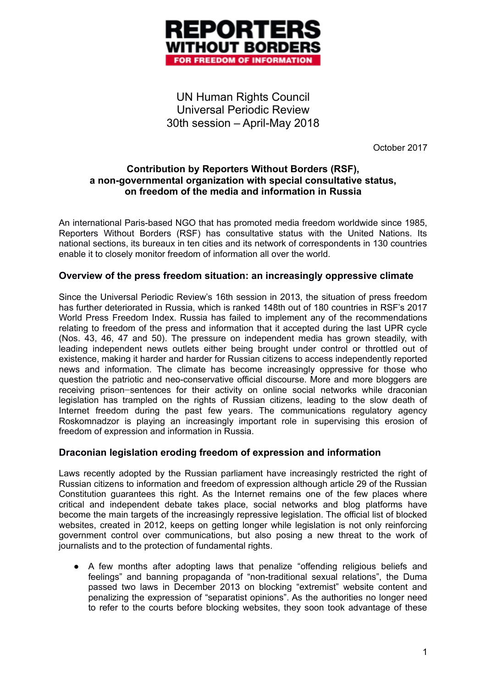

UN Human Rights Council Universal Periodic Review 30th session – April-May 2018

October 2017

## **Contribution by Reporters Without Borders (RSF), a non-governmental organization with special consultative status, on freedom of the media and information in Russia**

An international Paris-based NGO that has promoted media freedom worldwide since 1985, Reporters Without Borders (RSF) has consultative status with the United Nations. Its national sections, its bureaux in ten cities and its network of correspondents in 130 countries enable it to closely monitor freedom of information all over the world.

## **Overview of the press freedom situation: an increasingly oppressive climate**

Since the Universal Periodic Review's 16th session in 2013, the situation of press freedom has further deteriorated in Russia, which is ranked 148th out of 180 countries in RSF's 2017 World Press Freedom Index. Russia has failed to implement any of the recommendations relating to freedom of the press and information that it accepted during the last UPR cycle (Nos. 43, 46, 47 and 50). The pressure on independent media has grown steadily, with leading independent news outlets either being brought under control or throttled out of existence, making it harder and harder for Russian citizens to access independently reported news and information. The climate has become increasingly oppressive for those who question the patriotic and neo-conservative official discourse. More and more bloggers are receiving prison-sentences for their activity on online social networks while draconian legislation has trampled on the rights of Russian citizens, leading to the slow death of Internet freedom during the past few years. The communications regulatory agency Roskomnadzor is playing an increasingly important role in supervising this erosion of freedom of expression and information in Russia.

## **Draconian legislation eroding freedom of expression and information**

Laws recently adopted by the Russian parliament have increasingly restricted the right of Russian citizens to information and freedom of expression although article 29 of the Russian Constitution guarantees this right. As the Internet remains one of the few places where critical and independent debate takes place, social networks and blog platforms have become the main targets of the increasingly repressive legislation. The official list of blocked websites, created in 2012, keeps on getting longer while legislation is not only reinforcing government control over communications, but also posing a new threat to the work of journalists and to the protection of fundamental rights.

● A few months after adopting laws that penalize "offending religious beliefs and feelings" and banning propaganda of "non-traditional sexual relations", the Duma passed two laws in December 2013 on blocking "extremist" website content and penalizing the expression of "separatist opinions". As the authorities no longer need to refer to the courts before blocking websites, they soon took advantage of these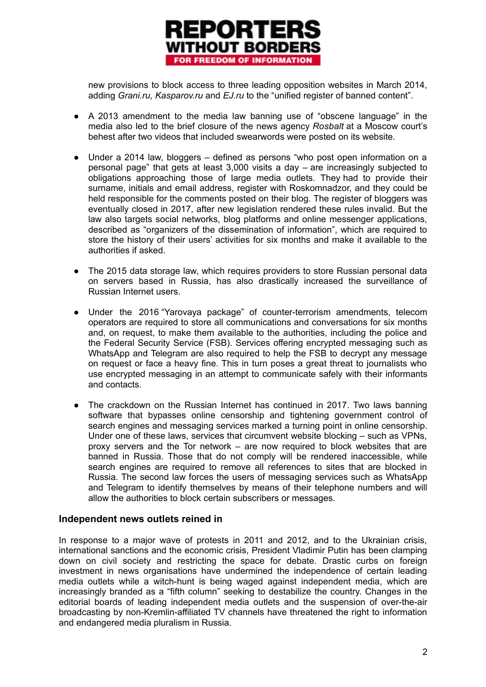

new provisions to block access to three leading opposition websites in March 2014, adding *Grani.ru, Kasparov.ru* and *EJ.ru* to the "unified register of banned content".

- A 2013 amendment to the media law banning use of "obscene language" in the media also led to the brief closure of the news agency *Rosbalt* at a Moscow court's behest after two videos that included swearwords were posted on its website.
- Under a 2014 law, bloggers defined as persons "who post open information on a personal page" that gets at least 3,000 visits a day – are increasingly subjected to obligations approaching those of large media outlets. They had to provide their surname, initials and email address, register with Roskomnadzor, and they could be held responsible for the comments posted on their blog. The register of bloggers was eventually closed in 2017, after new legislation rendered these rules invalid. But the law also targets social networks, blog platforms and online messenger applications, described as "organizers of the dissemination of information", which are required to store the history of their users' activities for six months and make it available to the authorities if asked.
- The 2015 data storage law, which requires providers to store Russian personal data on servers based in Russia, has also drastically increased the surveillance of Russian Internet users.
- Under the 2016 "Yarovaya package" of counter-terrorism amendments, telecom operators are required to store all communications and conversations for six months and, on request, to make them available to the authorities, including the police and the Federal Security Service (FSB). Services offering encrypted messaging such as WhatsApp and Telegram are also required to help the FSB to decrypt any message on request or face a heavy fine. This in turn poses a great threat to journalists who use encrypted messaging in an attempt to communicate safely with their informants and contacts.
- The crackdown on the Russian Internet has continued in 2017. Two laws banning software that bypasses online censorship and tightening government control of search engines and messaging services marked a turning point in online censorship. Under one of these laws, services that circumvent website blocking – such as VPNs, proxy servers and the Tor network – are now required to block websites that are banned in Russia. Those that do not comply will be rendered inaccessible, while search engines are required to remove all references to sites that are blocked in Russia. The second law forces the users of messaging services such as WhatsApp and Telegram to identify themselves by means of their telephone numbers and will allow the authorities to block certain subscribers or messages.

## **Independent news outlets reined in**

In response to a major wave of protests in 2011 and 2012, and to the Ukrainian crisis, international sanctions and the economic crisis, President Vladimir Putin has been clamping down on civil society and restricting the space for debate. Drastic curbs on foreign investment in news organisations have undermined the independence of certain leading media outlets while a witch-hunt is being waged against independent media, which are increasingly branded as a "fifth column" seeking to destabilize the country. Changes in the editorial boards of leading independent media outlets and the suspension of over-the-air broadcasting by non-Kremlin-affiliated TV channels have threatened the right to information and endangered media pluralism in Russia.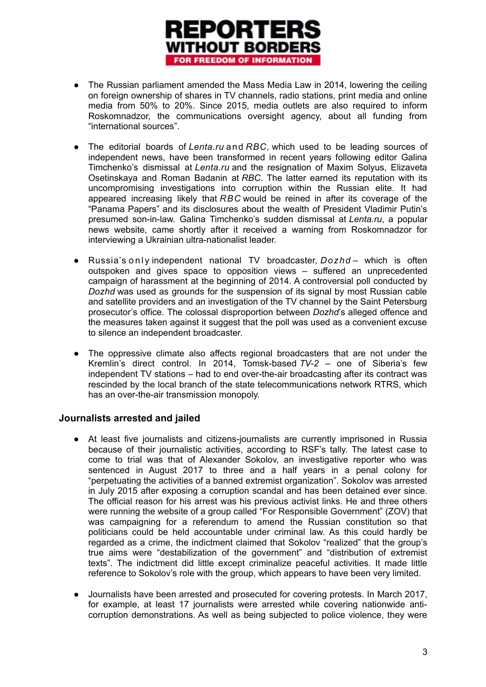

- The Russian parliament amended the Mass Media Law in 2014, lowering the ceiling on foreign ownership of shares in TV channels, radio stations, print media and online media from 50% to 20%. Since 2015, media outlets are also required to inform Roskomnadzor, the communications oversight agency, about all funding from "international sources".
- The editorial boards of *Lenta.ru* and *RBC*, which used to be leading sources of independent news, have been transformed in recent years following editor Galina Timchenko's dismissal at *Lenta.ru* and the resignation of Maxim Solyus, Elizaveta Osetinskaya and Roman Badanin at *RBC*. The latter earned its reputation with its uncompromising investigations into corruption within the Russian elite. It had appeared increasing likely that *RBC* would be reined in after its coverage of the "Panama Papers" and its disclosures about the wealth of President Vladimir Putin's presumed son-in-law. Galina Timchenko's sudden dismissal at *Lenta.ru*, a popular news website, came shortly after it received a warning from Roskomnadzor for interviewing a Ukrainian ultra-nationalist leader.
- Russia's o n l y independent national TV broadcaster, *Dozhd*  which is often outspoken and gives space to opposition views – suffered an unprecedented campaign of harassment at the beginning of 2014. A controversial poll conducted by *Dozhd* was used as grounds for the suspension of its signal by most Russian cable and satellite providers and an investigation of the TV channel by the Saint Petersburg prosecutor's office. The colossal disproportion between *Dozhd*'s alleged offence and the measures taken against it suggest that the poll was used as a convenient excuse to silence an independent broadcaster.
- The oppressive climate also affects regional broadcasters that are not under the Kremlin's direct control. In 2014, Tomsk-based *TV-2* – one of Siberia's few independent TV stations – had to end over-the-air broadcasting after its contract was rescinded by the local branch of the state telecommunications network RTRS, which has an over-the-air transmission monopoly.

## **Journalists arrested and jailed**

- At least five journalists and citizens-journalists are currently imprisoned in Russia because of their journalistic activities, according to RSF's tally. The latest case to come to trial was that of Alexander Sokolov, an investigative reporter who was sentenced in August 2017 to three and a half years in a penal colony for "perpetuating the activities of a banned extremist organization". Sokolov was arrested in July 2015 after exposing a corruption scandal and has been detained ever since. The official reason for his arrest was his previous activist links. He and three others were running the website of a group called "For Responsible Government" (ZOV) that was campaigning for a referendum to amend the Russian constitution so that politicians could be held accountable under criminal law. As this could hardly be regarded as a crime, the indictment claimed that Sokolov "realized" that the group's true aims were "destabilization of the government" and "distribution of extremist texts". The indictment did little except criminalize peaceful activities. It made little reference to Sokolov's role with the group, which appears to have been very limited.
- Journalists have been arrested and prosecuted for covering protests. In March 2017, for example, at least 17 journalists were arrested while covering nationwide anticorruption demonstrations. As well as being subjected to police violence, they were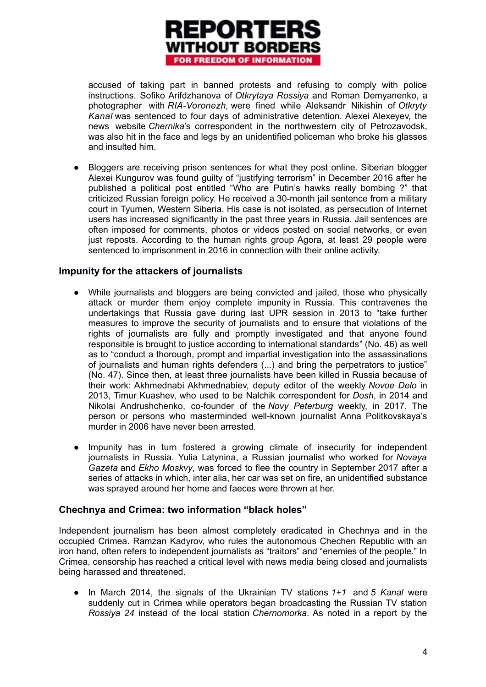

accused of taking part in banned protests and refusing to comply with police instructions. Sofiko Arifdzhanova of *Otkrytaya Rossiya* and Roman Demyanenko, a photographer with *RIA-Voronezh,* were fined while Aleksandr Nikishin of *Otkryty Kanal* was sentenced to four days of administrative detention. Alexei Alexeyev, the news website *Chernika*'s correspondent in the northwestern city of Petrozavodsk, was also hit in the face and legs by an unidentified policeman who broke his glasses and insulted him.

• Bloggers are receiving prison sentences for what they post online. Siberian blogger Alexei Kungurov was found guilty of "justifying terrorism" in December 2016 after he published a political post entitled "Who are Putin's hawks really bombing ?" that criticized Russian foreign policy. He received a 30-month jail sentence from a military court in Tyumen, Western Siberia. His case is not isolated, as persecution of Internet users has increased significantly in the past three years in Russia. Jail sentences are often imposed for comments, photos or videos posted on social networks, or even just reposts. According to the human rights group Agora, at least 29 people were sentenced to imprisonment in 2016 in connection with their online activity.

## **Impunity for the attackers of journalists**

- While journalists and bloggers are being convicted and jailed, those who physically attack or murder them enjoy complete impunity in Russia. This contravenes the undertakings that Russia gave during last UPR session in 2013 to "take further measures to improve the security of journalists and to ensure that violations of the rights of journalists are fully and promptly investigated and that anyone found responsible is brought to justice according to international standards" (No. 46) as well as to "conduct a thorough, prompt and impartial investigation into the assassinations of journalists and human rights defenders (...) and bring the perpetrators to justice" (No. 47). Since then, at least three journalists have been killed in Russia because of their work: Akhmednabi Akhmednabiev, deputy editor of the weekly *Novoe Delo* in 2013, Timur Kuashev, who used to be Nalchik correspondent for *Dosh*, in 2014 and Nikolai Andrushchenko, co-founder of the *Novy Peterburg* weekly, in 2017. The person or persons who masterminded well-known journalist Anna Politkovskaya's murder in 2006 have never been arrested.
- Impunity has in turn fostered a growing climate of insecurity for independent journalists in Russia. Yulia Latynina, a Russian journalist who worked for *Novaya Gazeta* and *Ekho Moskvy*, was forced to flee the country in September 2017 after a series of attacks in which, inter alia, her car was set on fire, an unidentified substance was sprayed around her home and faeces were thrown at her.

## **Chechnya and Crimea: two information "black holes"**

Independent journalism has been almost completely eradicated in Chechnya and in the occupied Crimea. Ramzan Kadyrov, who rules the autonomous Chechen Republic with an iron hand, often refers to independent journalists as "traitors" and "enemies of the people." In Crimea, censorship has reached a critical level with news media being closed and journalists being harassed and threatened.

● In March 2014, the signals of the Ukrainian TV stations *1+1* and *5 Kanal* were suddenly cut in Crimea while operators began broadcasting the Russian TV station *Rossiya 24* instead of the local station *Chernomorka*. As noted in a report by the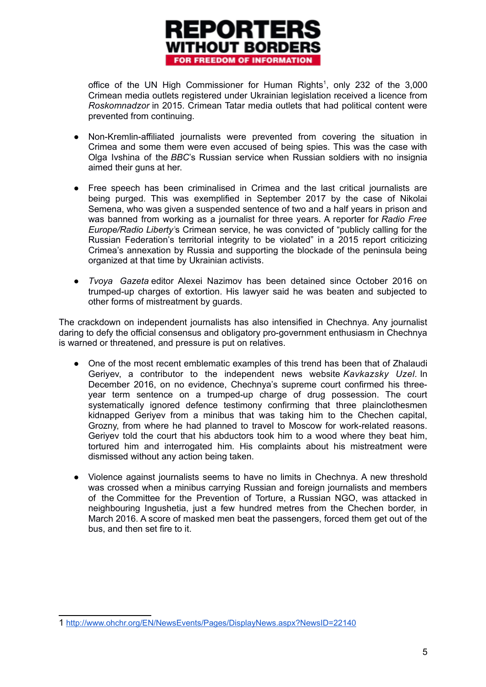

office of the UN High Commissioner for Human Rights<sup>[1](#page-4-0)</sup>, only 232 of the 3,000 Crimean media outlets registered under Ukrainian legislation received a licence from *Roskomnadzor* in 2015. Crimean Tatar media outlets that had political content were prevented from continuing.

- Non-Kremlin-affiliated journalists were prevented from covering the situation in Crimea and some them were even accused of being spies. This was the case with Olga Ivshina of the *BBC*'s Russian service when Russian soldiers with no insignia aimed their guns at her.
- Free speech has been criminalised in Crimea and the last critical journalists are being purged. This was exemplified in September 2017 by the case of Nikolai Semena, who was given a suspended sentence of two and a half years in prison and was banned from working as a journalist for three years. A reporter for *Radio Free Europe/Radio Liberty'*s Crimean service, he was convicted of "publicly calling for the Russian Federation's territorial integrity to be violated" in a 2015 report criticizing Crimea's annexation by Russia and supporting the blockade of the peninsula being organized at that time by Ukrainian activists.
- *Tvoya Gazeta* editor Alexei Nazimov has been detained since October 2016 on trumped-up charges of extortion. His lawyer said he was beaten and subjected to other forms of mistreatment by guards.

The crackdown on independent journalists has also intensified in Chechnya. Any journalist daring to defy the official consensus and obligatory pro-government enthusiasm in Chechnya is warned or threatened, and pressure is put on relatives.

- One of the most recent emblematic examples of this trend has been that of Zhalaudi Geriyev, a contributor to the independent news website *Kavkazsky Uzel.* In December 2016, on no evidence, Chechnya's supreme court confirmed his threeyear term sentence on a trumped-up charge of drug possession. The court systematically ignored defence testimony confirming that three plainclothesmen kidnapped Geriyev from a minibus that was taking him to the Chechen capital, Grozny, from where he had planned to travel to Moscow for work-related reasons. Geriyev told the court that his abductors took him to a wood where they beat him, tortured him and interrogated him. His complaints about his mistreatment were dismissed without any action being taken.
- Violence against journalists seems to have no limits in Chechnya. A new threshold was crossed when a minibus carrying Russian and foreign journalists and members of the Committee for the Prevention of Torture, a Russian NGO, was attacked in neighbouring Ingushetia, just a few hundred metres from the Chechen border, in March 2016. A score of masked men beat the passengers, forced them get out of the bus, and then set fire to it.

<span id="page-4-0"></span><sup>1</sup> <http://www.ohchr.org/EN/NewsEvents/Pages/DisplayNews.aspx?NewsID=22140>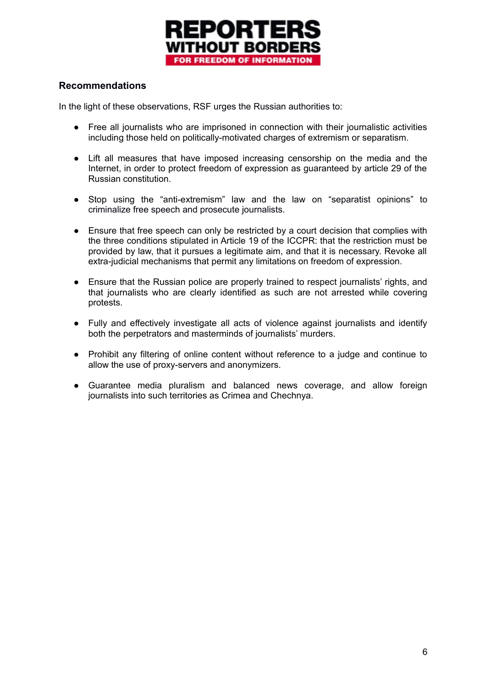

# **Recommendations**

In the light of these observations, RSF urges the Russian authorities to:

- Free all journalists who are imprisoned in connection with their journalistic activities including those held on politically-motivated charges of extremism or separatism.
- Lift all measures that have imposed increasing censorship on the media and the Internet, in order to protect freedom of expression as guaranteed by article 29 of the Russian constitution.
- Stop using the "anti-extremism" law and the law on "separatist opinions" to criminalize free speech and prosecute journalists.
- Ensure that free speech can only be restricted by a court decision that complies with the three conditions stipulated in Article 19 of the ICCPR: that the restriction must be provided by law, that it pursues a legitimate aim, and that it is necessary. Revoke all extra-judicial mechanisms that permit any limitations on freedom of expression.
- Ensure that the Russian police are properly trained to respect journalists' rights, and that journalists who are clearly identified as such are not arrested while covering protests.
- Fully and effectively investigate all acts of violence against journalists and identify both the perpetrators and masterminds of journalists' murders.
- Prohibit any filtering of online content without reference to a judge and continue to allow the use of proxy-servers and anonymizers.
- Guarantee media pluralism and balanced news coverage, and allow foreign journalists into such territories as Crimea and Chechnya.